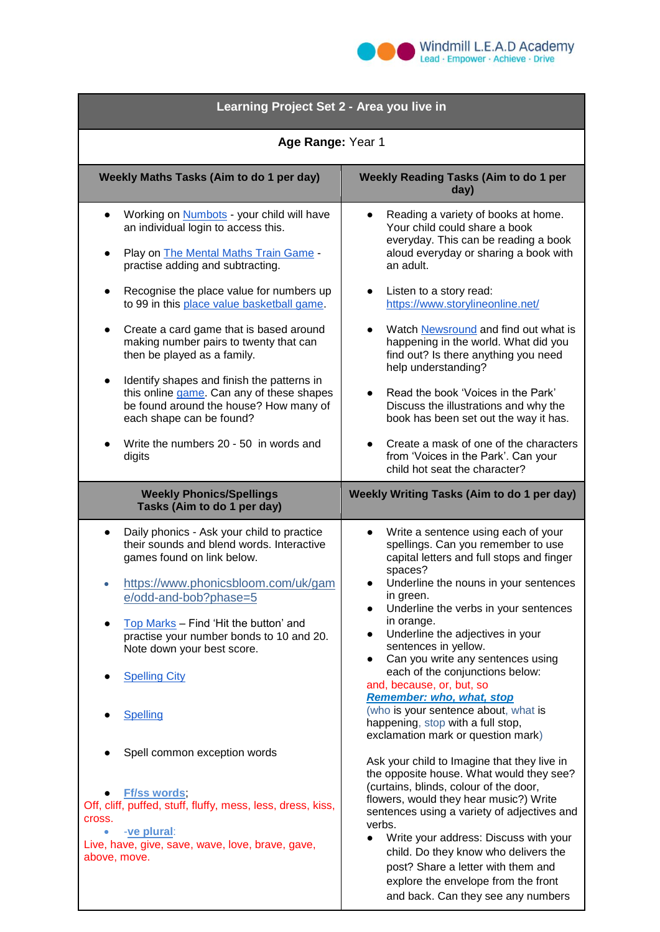

| Learning Project Set 2 - Area you live in                                                                                                                                                                                                                                                                                                                                                                                                                                                                                                                                                                      |                                                                                                                                                                                                                                                                                                                                                                                                                                                                                                                                                                                                                                                                                                                                                                                                                                                                                                                                                                                                                                              |
|----------------------------------------------------------------------------------------------------------------------------------------------------------------------------------------------------------------------------------------------------------------------------------------------------------------------------------------------------------------------------------------------------------------------------------------------------------------------------------------------------------------------------------------------------------------------------------------------------------------|----------------------------------------------------------------------------------------------------------------------------------------------------------------------------------------------------------------------------------------------------------------------------------------------------------------------------------------------------------------------------------------------------------------------------------------------------------------------------------------------------------------------------------------------------------------------------------------------------------------------------------------------------------------------------------------------------------------------------------------------------------------------------------------------------------------------------------------------------------------------------------------------------------------------------------------------------------------------------------------------------------------------------------------------|
| Age Range: Year 1                                                                                                                                                                                                                                                                                                                                                                                                                                                                                                                                                                                              |                                                                                                                                                                                                                                                                                                                                                                                                                                                                                                                                                                                                                                                                                                                                                                                                                                                                                                                                                                                                                                              |
| Weekly Maths Tasks (Aim to do 1 per day)                                                                                                                                                                                                                                                                                                                                                                                                                                                                                                                                                                       | <b>Weekly Reading Tasks (Aim to do 1 per</b><br>day)                                                                                                                                                                                                                                                                                                                                                                                                                                                                                                                                                                                                                                                                                                                                                                                                                                                                                                                                                                                         |
| Working on <b>Numbots</b> - your child will have<br>an individual login to access this.<br>Play on <b>The Mental Maths Train Game</b> -<br>practise adding and subtracting.<br>Recognise the place value for numbers up<br>to 99 in this place value basketball game.<br>Create a card game that is based around<br>making number pairs to twenty that can<br>then be played as a family.<br>Identify shapes and finish the patterns in<br>this online game. Can any of these shapes<br>be found around the house? How many of<br>each shape can be found?<br>Write the numbers 20 - 50 in words and<br>digits | Reading a variety of books at home.<br>Your child could share a book<br>everyday. This can be reading a book<br>aloud everyday or sharing a book with<br>an adult.<br>Listen to a story read:<br>https://www.storylineonline.net/<br>Watch Newsround and find out what is<br>happening in the world. What did you<br>find out? Is there anything you need<br>help understanding?<br>Read the book 'Voices in the Park'<br>Discuss the illustrations and why the<br>book has been set out the way it has.<br>Create a mask of one of the characters<br>from 'Voices in the Park'. Can your                                                                                                                                                                                                                                                                                                                                                                                                                                                    |
| <b>Weekly Phonics/Spellings</b><br>Tasks (Aim to do 1 per day)                                                                                                                                                                                                                                                                                                                                                                                                                                                                                                                                                 | child hot seat the character?<br>Weekly Writing Tasks (Aim to do 1 per day)                                                                                                                                                                                                                                                                                                                                                                                                                                                                                                                                                                                                                                                                                                                                                                                                                                                                                                                                                                  |
| Daily phonics - Ask your child to practice<br>their sounds and blend words. Interactive<br>games found on link below.<br>https://www.phonicsbloom.com/uk/gam<br>e/odd-and-bob?phase=5<br>Top Marks - Find 'Hit the button' and<br>practise your number bonds to 10 and 20.<br>Note down your best score.<br><b>Spelling City</b><br><b>Spelling</b><br>Spell common exception words<br><b>Ff/ss words</b> ,<br>Off, cliff, puffed, stuff, fluffy, mess, less, dress, kiss,<br>cross.<br>-ve plural:<br>Live, have, give, save, wave, love, brave, gave,<br>above, move.                                        | Write a sentence using each of your<br>spellings. Can you remember to use<br>capital letters and full stops and finger<br>spaces?<br>Underline the nouns in your sentences<br>in green.<br>Underline the verbs in your sentences<br>$\bullet$<br>in orange.<br>Underline the adjectives in your<br>sentences in yellow.<br>Can you write any sentences using<br>$\bullet$<br>each of the conjunctions below:<br>and, because, or, but, so<br><b>Remember: who, what, stop</b><br>(who is your sentence about, what is<br>happening, stop with a full stop,<br>exclamation mark or question mark)<br>Ask your child to Imagine that they live in<br>the opposite house. What would they see?<br>(curtains, blinds, colour of the door,<br>flowers, would they hear music?) Write<br>sentences using a variety of adjectives and<br>verbs.<br>Write your address: Discuss with your<br>child. Do they know who delivers the<br>post? Share a letter with them and<br>explore the envelope from the front<br>and back. Can they see any numbers |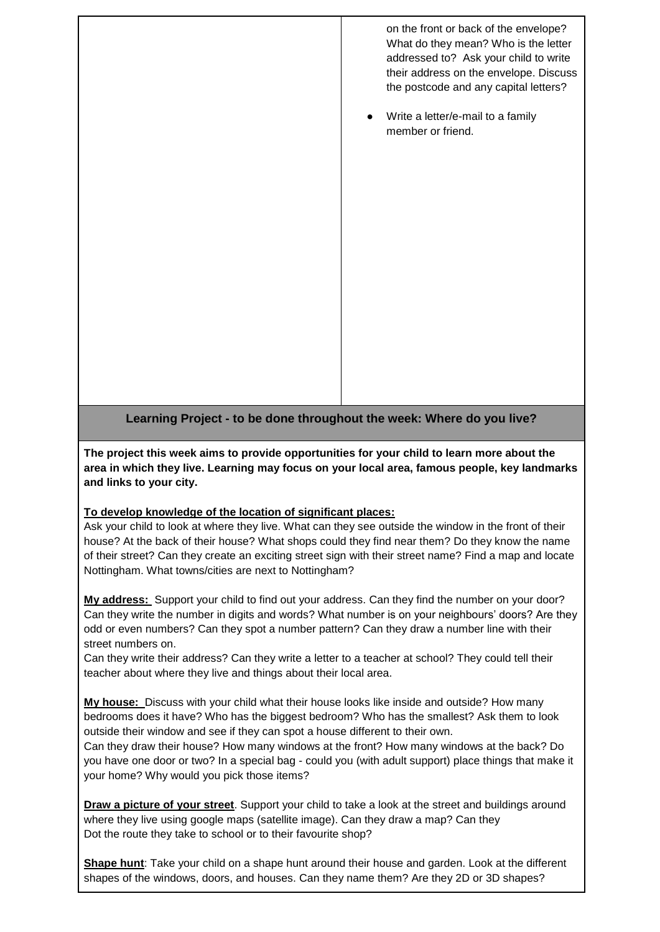on the front or back of the envelope? What do they mean? Who is the letter addressed to? Ask your child to write their address on the envelope. Discuss the postcode and any capital letters?

Write a letter/e-mail to a family member or friend.

**Learning Project - to be done throughout the week: Where do you live?** 

**The project this week aims to provide opportunities for your child to learn more about the area in which they live. Learning may focus on your local area, famous people, key landmarks and links to your city.**

## **To develop knowledge of the location of significant places:**

Ask your child to look at where they live. What can they see outside the window in the front of their house? At the back of their house? What shops could they find near them? Do they know the name of their street? Can they create an exciting street sign with their street name? Find a map and locate Nottingham. What towns/cities are next to Nottingham?

**My address:** Support your child to find out your address. Can they find the number on your door? Can they write the number in digits and words? What number is on your neighbours' doors? Are they odd or even numbers? Can they spot a number pattern? Can they draw a number line with their street numbers on.

Can they write their address? Can they write a letter to a teacher at school? They could tell their teacher about where they live and things about their local area.

**My house:** Discuss with your child what their house looks like inside and outside? How many bedrooms does it have? Who has the biggest bedroom? Who has the smallest? Ask them to look outside their window and see if they can spot a house different to their own.

Can they draw their house? How many windows at the front? How many windows at the back? Do you have one door or two? In a special bag - could you (with adult support) place things that make it your home? Why would you pick those items?

**Draw a picture of your street**. Support your child to take a look at the street and buildings around where they live using google maps (satellite image). Can they draw a map? Can they Dot the route they take to school or to their favourite shop?

**Shape hunt**: Take your child on a shape hunt around their house and garden. Look at the different shapes of the windows, doors, and houses. Can they name them? Are they 2D or 3D shapes?